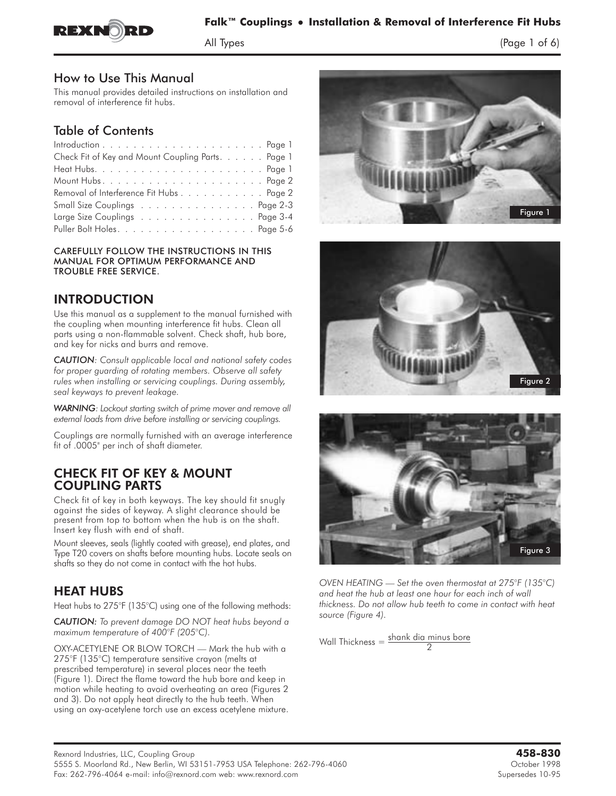

## **Falk™ Couplings** - **Installation & Removal of Interference Fit Hubs**

 $\frac{1}{2}$  of  $\frac{1}{2}$  of  $\frac{1}{2}$  of 6)  $\frac{1}{2}$ 

How to Use This Manual

This manual provides detailed instructions on installation and removal of interference fit hubs.

#### Table of Contents

| Check Fit of Key and Mount Coupling Parts. Page 1 |  |
|---------------------------------------------------|--|
|                                                   |  |
|                                                   |  |
| Removal of Interference Fit Hubs Page 2           |  |
| Small Size Couplings Page 2-3                     |  |
| Large Size Couplings Page 3-4                     |  |
|                                                   |  |

CAREFULLY FOLLOW THE INSTRUCTIONS IN THIS MANUAL FOR OPTIMUM PERFORMANCE AND TROUBLE FREE SERVICE.

#### **INTRODUCTION**

INTRODUCTION<br>Use this manual as a supplement to the manual furnished with the coupling when mounting interference fit hubs. Clean all parts using a non-flammable solvent. Check shaft, hub bore, and key for nicks and burrs and remove.

*CAUTION: Consult applicable local and national safety codes for proper guarding of rotating members. Observe all safety rules when installing or servicing couplings. During assembly, seal keyways to prevent leakage.*

*WARNING: Lockout starting switch of prime mover and remove all external loads from drive before installing or servicing couplings.*

Couplings are normally furnished with an average interference fit of .0005" per inch of shaft diameter.

# CHECK FIT OF KEY & MOUNT

Check fit of key in both keyways. The key should fit snugly against the sides of keyway. A slight clearance should be present from top to bottom when the hub is on the shaft. Insert key flush with end of shaft.

Mount sleeves, seals (lightly coated with grease), end plates, and Type T20 covers on shafts before mounting hubs. Locate seals on shafts so they do not come in contact with the hot hubs.

#### **HEAT HUBS**

Heat hubs to 275°F (135°C) using one of the following methods:

*CAUTION: To prevent damage DO NOT heat hubs beyond a maximum temperature of 400°F (205°C).*

OXY-ACETYLENE OR BLOW TORCH — Mark the hub with a 275°F (135°C) temperature sensitive crayon (melts at prescribed temperature) in several places near the teeth (Figure 1). Direct the flame toward the hub bore and keep in motion while heating to avoid overheating an area (Figures 2 and 3). Do not apply heat directly to the hub teeth. When using an oxy-acetylene torch use an excess acetylene mixture.







*OVEN HEATING — Set the oven thermostat at 275°F (135°C) and heat the hub at least one hour for each inch of wall thickness. Do not allow hub teeth to come in contact with heat source (Figure 4).*

Wall Thickness  $=\frac{\text{shank dia minus bore}}{2}$ 2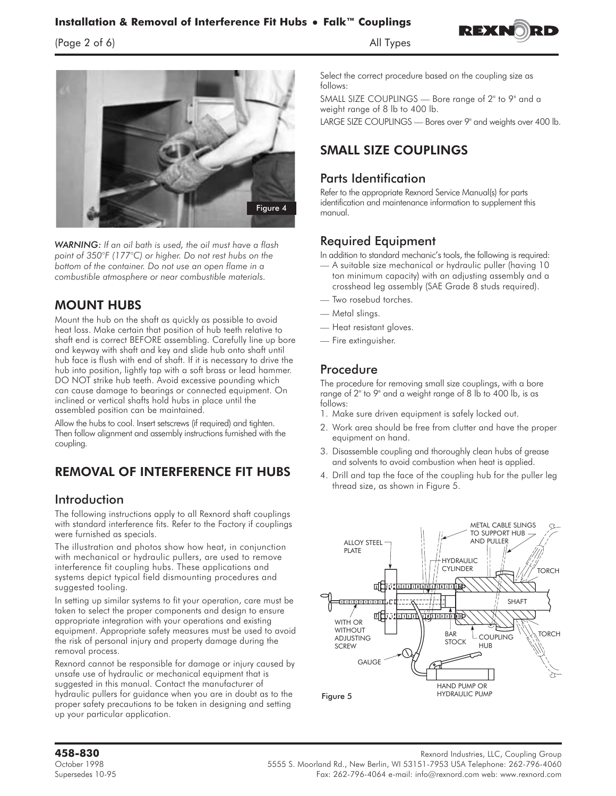#### **Installation & Removal of Interference Fit Hubs • Falk™ Couplings Falk™ Couplings**

 $\frac{1}{2}$  of  $\frac{1}{2}$  of  $\frac{1}{2}$  of  $\frac{1}{2}$  and  $\frac{1}{2}$  and  $\frac{1}{2}$  and  $\frac{1}{2}$  and  $\frac{1}{2}$  and  $\frac{1}{2}$  and  $\frac{1}{2}$  and  $\frac{1}{2}$  and  $\frac{1}{2}$  and  $\frac{1}{2}$  and  $\frac{1}{2}$  and  $\frac{1}{2}$  and  $\frac{1}{2}$  and





*WARNING: If an oil bath is used, the oil must have a flash point of 350°F (177°C) or higher. Do not rest hubs on the bottom of the container. Do not use an open flame in a combustible atmosphere or near combustible materials.*

#### **MOUNT HUBS**

Mount the hub on the shaft as quickly as possible to avoid heat loss. Make certain that position of hub teeth relative to shaft end is correct BEFORE assembling. Carefully line up bore and keyway with shaft and key and slide hub onto shaft until hub face is flush with end of shaft. If it is necessary to drive the hub into position, lightly tap with a soft brass or lead hammer. DO NOT strike hub teeth. Avoid excessive pounding which can cause damage to bearings or connected equipment. On inclined or vertical shafts hold hubs in place until the assembled position can be maintained.

**Allow the hubs to cool. Insert setscrews (if required) and tighten. Then follow alignment and assembly instructions furnished with the coupling.**

### **REMOVAL OF INTERFERENCE FIT HUBS**

#### Introduction

**The following instructions apply to all Rexnord shaft couplings with standard interference fits. Refer to the Factory if couplings were furnished as specials.**

**The illustration and photos show how heat, in conjunction with mechanical or hydraulic pullers, are used to remove interference fit coupling hubs. These applications and systems depict typical field dismounting procedures and suggested tooling.**

**In setting up similar systems to fit your operation, care must be taken to select the proper components and design to ensure appropriate integration with your operations and existing equipment. Appropriate safety measures must be used to avoid the risk of personal injury and property damage during the removal process.**

Rexnord cannot be responsible for damage or injury caused by unsafe use of hydraulic or mechanical equipment that is suggested in this manual. Contact the manufacturer of hydraulic pullers for guidance when you are in doubt as to the proper safety precautions to be taken in designing and setting up your particular application.

Select the correct procedure based on the coupling size as follows:

**SMALL SIZE COUPLINGS — Bore range of 2" to 9" and a weight range of 8 lb to 400 lb.**

**LARGE SIZE COUPLINGS — Bores over 9" and weights over 400 lb.**

### **SMALL SIZE COUPLINGS**

#### Parts Identification

**Refer to the appropriate Rexnord Service Manual(s) for parts identification and maintenance information to supplement this manual.**

#### Required Equipment

**In addition to standard mechanic's tools, the following is required:**

- **A suitable size mechanical or hydraulic puller (having 10 ton minimum capacity) with an adjusting assembly and a crosshead leg assembly (SAE Grade 8 studs required).**
- **Two rosebud torches.**
- **Metal slings.**
- **Heat resistant gloves.**
- **Fire extinguisher.**

#### Procedure

**The procedure for removing small size couplings, with a bore range of 2" to 9" and a weight range of 8 lb to 400 lb, is as follows:**

- **1. Make sure driven equipment is safely locked out.**
- **2. Work area should be free from clutter and have the proper equipment on hand.**
- **3.** Disassemble coupling and thoroughly clean hubs of grease and solvents to avoid combustion when heat is applied.
- **4. Drill and tap the face of the coupling hub for the puller leg thread size, as shown in Figure 5.**



**458-830** Rexnord Industries, LLC, Coupling Group October 1998 5555 S. Moorland Rd., New Berlin, WI 53151-7953 USA Telephone: 262-796-4060 Supersedes 10-95 Fax: 262-796-4064 e-mail: info@rexnord.com web: www.rexnord.com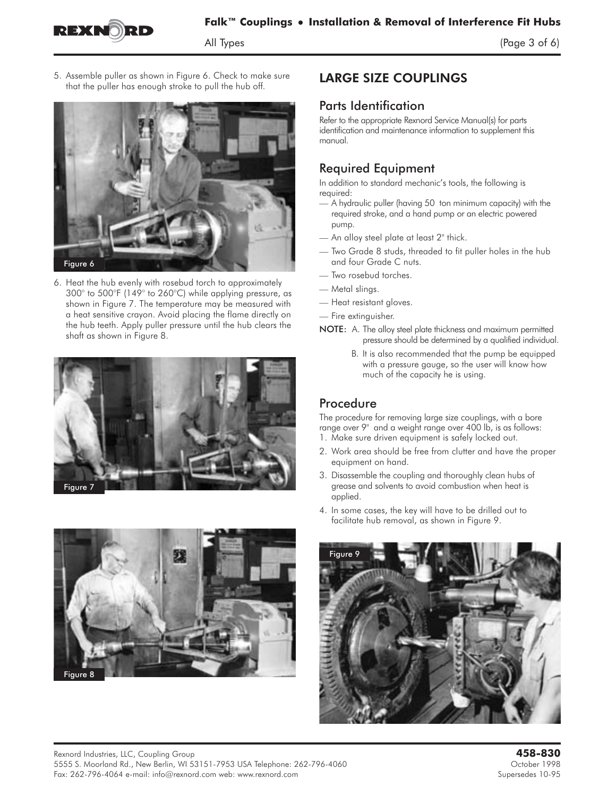

 $\frac{1}{2}$  of  $\frac{1}{2}$  of 6) of 6) of 6) or 6) or 6) or 6) or 6) or 6) or 6) or 6) or 6) or 6) or 6) or 6) or 6) or 6) or 6) or 6) or 6) or 6) or 6) or 6) or 6) or 6) or 6) or 6) or 6) or 6) or 6) or 6) or 6) or 6) or 6)

**5. Assemble puller as shown in Figure 6. Check to make sure that the puller has enough stroke to pull the hub off.**



**6. Heat the hub evenly with rosebud torch to approximately 300° to 500°F (149° to 260°C) while applying pressure, as shown in Figure 7. The temperature may be measured with a heat sensitive crayon. Avoid placing the flame directly on the hub teeth. Apply puller pressure until the hub clears the shaft as shown in Figure 8.**





#### **LARGE SIZE COUPLINGS**

#### Parts Identification

**Refer to the appropriate Rexnord Service Manual(s) for parts identification and maintenance information to supplement this manual.**

#### Required Equipment

**In addition to standard mechanic's tools, the following is required:**

- **—** A hydraulic puller (having 50 ton minimum capacity) with the required stroke, and a hand pump or an electric powered pump.
- **An alloy steel plate at least 2" thick.**
- **Two Grade 8 studs, threaded to fit puller holes in the hub and four Grade C nuts.**
- **Two rosebud torches.**
- **Metal slings.**
- **Heat resistant gloves.**
- **Fire extinguisher.**
- NOTE: A. The alloy steel plate thickness and maximum permitted pressure should be determined by a qualified individual.
	- B. It is also recommended that the pump be equipped with a pressure gauge, so the user will know how much of the capacity he is using.

#### Procedure

The procedure for removing large size couplings, with a bore range over 9" and a weight range over 400 lb, is as follows:

- 1. Make sure driven equipment is safely locked out.
- 2. Work area should be free from clutter and have the proper equipment on hand.
- 3. Disassemble the coupling and thoroughly clean hubs of grease and solvents to avoid combustion when heat is applied.
- 4. In some cases, the key will have to be drilled out to facilitate hub removal, as shown in Figure 9.

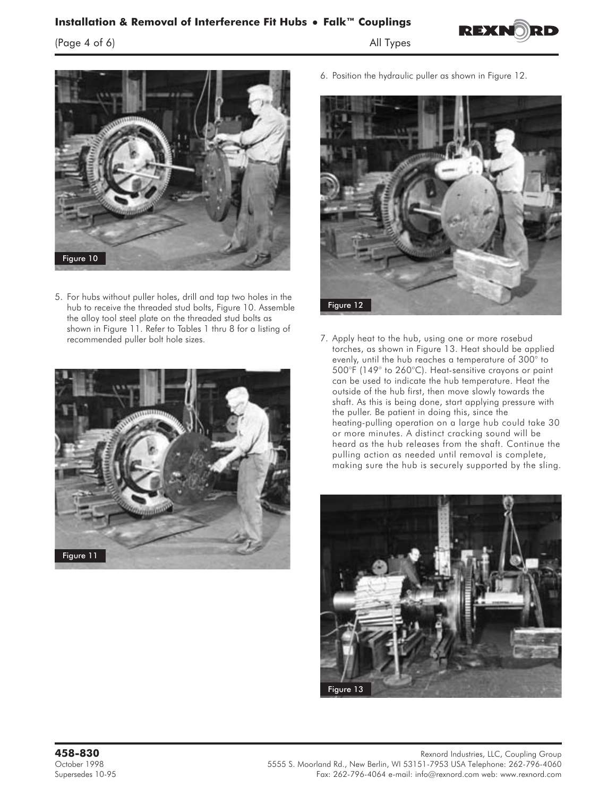## Installation & Removal of Interference Fit Hubs • Falk™ Couplings

 $\frac{1}{2}$  of  $\frac{1}{2}$  of  $\frac{1}{2}$  of  $\frac{1}{2}$  of  $\frac{1}{2}$  of  $\frac{1}{2}$  of  $\frac{1}{2}$  of  $\frac{1}{2}$  or  $\frac{1}{2}$  or  $\frac{1}{2}$  or  $\frac{1}{2}$  or  $\frac{1}{2}$  or  $\frac{1}{2}$  or  $\frac{1}{2}$  or  $\frac{1}{2}$  or  $\frac{1}{2}$  or  $\frac{1}{2}$  or





5. For hubs without puller holes, drill and tap two holes in the hub to receive the threaded stud bolts, Figure 10. Assemble the alloy tool steel plate on the threaded stud bolts as shown in Figure 11. Refer to Tables 1 thru 8 for a listing of recommended puller bolt hole sizes.



6. Position the hydraulic puller as shown in Figure 12.



7. Apply heat to the hub, using one or more rosebud torches, as shown in Figure 13. Heat should be applied evenly, until the hub reaches a temperature of 300° to 500°F (149° to 260°C). Heat-sensitive crayons or paint can be used to indicate the hub temperature. Heat the outside of the hub first, then move slowly towards the shaft. As this is being done, start applying pressure with the puller. Be patient in doing this, since the heating-pulling operation on a large hub could take 30 or more minutes. A distinct cracking sound will be heard as the hub releases from the shaft. Continue the pulling action as needed until removal is complete, making sure the hub is securely supported by the sling.

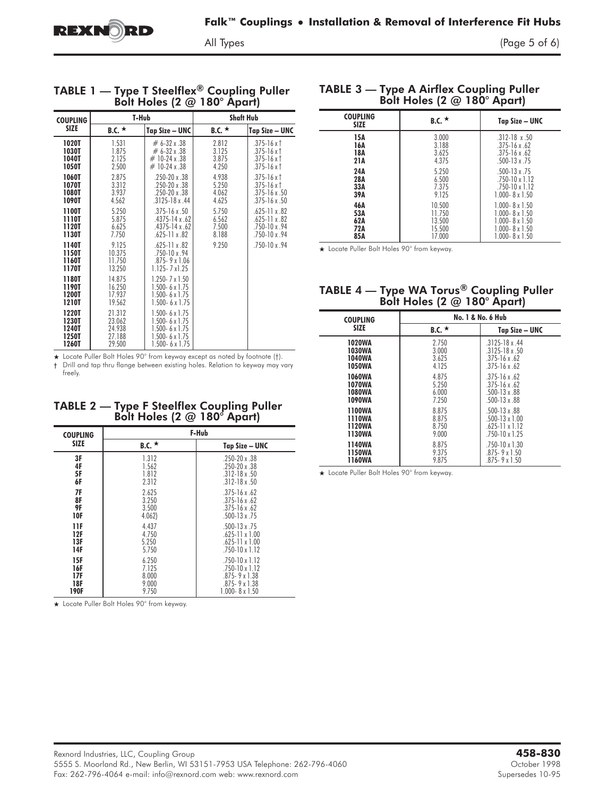$\frac{1}{2}$  and  $\frac{1}{2}$  of 6) of 6) or 6) or 6) or 6) or 6) or 6) or 6) or 6) or 6) or 6) or 6) or 6) or 6) or 6) or 6) or 6) or 6) or 6) or 6) or 6) or 6) or 6) or 6) or 6) or 6) or 6) or 6) or 6) or 6) or 6) or 6) or 6)

|                                           |                                                |                                                                                                                                     | ю                                | ,                                                                                    |
|-------------------------------------------|------------------------------------------------|-------------------------------------------------------------------------------------------------------------------------------------|----------------------------------|--------------------------------------------------------------------------------------|
| <b>COUPLING</b>                           | T-Hub                                          |                                                                                                                                     | <b>Shaft Hub</b>                 |                                                                                      |
| <b>SIZE</b>                               | B.C. $\star$                                   | Tap Size - UNC                                                                                                                      | B.C. $\star$                     | Tap Size - UNC                                                                       |
| 1020T<br>1030T<br>1040T<br>1050T          | 1.531<br>1.875<br>2.125<br>2.500               | $# 6 - 32 \times .38$<br>$# 6 - 32 \times .38$<br>$\#$ 10-24 x .38<br>$#$ 10-24 x .38                                               | 2.812<br>3.125<br>3.875<br>4.250 | $.375 - 16x$ †<br>$.375 - 16x$<br>.375-16 x $\dagger$<br>.375-16 x $\dagger$         |
| 1060T<br>1070T<br><b>1080T</b><br>1090T   | 2.875<br>3.312<br>3.937<br>4.562               | .250-20 x .38<br>.250-20 x .38<br>.250-20 x .38<br>$.3125 - 18x.44$                                                                 | 4.938<br>5.250<br>4.062<br>4.625 | $.375 - 16x$ †<br>$.375 - 16x$ †<br>$.375 - 16x.50$<br>$.375 - 16x.50$               |
| 1100T<br>1110T<br>1120T<br>1130T          | 5.250<br>5.875<br>6.625<br>7.750               | $.375 - 16x.50$<br>.4375-14 x .62<br>$.4375 - 14 \times .62$<br>$.625 - 11 \times .82$                                              | 5.750<br>6.562<br>7.500<br>8.188 | $.625 - 11 \times .82$<br>$.625 - 11 \times .82$<br>.750-10 x .94<br>$.750 - 10x.94$ |
| 1140T<br>1150T<br>1160T<br>1170T          | 9.125<br>10.375<br>11.750<br>13.250            | $.625 - 11 \times .82$<br>$.750 - 10x.94$<br>$.875 - 9 \times 1.06$<br>$1.125 - 7 \times 1.25$                                      | 9.250                            | .750-10 x .94                                                                        |
| 1180T<br>1190T<br>1200T<br>1210T          | 14.875<br>16.250<br>17.937<br>19.562           | $1.250 - 7 \times 1.50$<br>$1.500 - 6 \times 1.75$<br>$1.500 - 6 \times 1.75$<br>$1.500 - 6 \times 1.75$                            |                                  |                                                                                      |
| 1220T<br>1230T<br>1240T<br>1250T<br>1260T | 21.312<br>23.062<br>24.938<br>27.188<br>29.500 | $1.500 - 6 \times 1.75$<br>$1.500 - 6 \times 1.75$<br>$1.500 - 6 \times 1.75$<br>$1.500 - 6 \times 1.75$<br>$1.500 - 6 \times 1.75$ |                                  |                                                                                      |

### TABLE 1 — Type T Steelflex - Cooping Puller<br>Bolt Holes (2  $\omega$  180° Apart)

★ Locate Puller Bolt Holes 90° from keyway except as noted by footnote (†). † Drill and tap thru flange between existing holes. Relation to keyway may vary

## $B$ olt Holes (2  $@$  180 $^{\circ}$  Apart)

| <b>COUPLING</b> | F-Hub        |                         |  |  |
|-----------------|--------------|-------------------------|--|--|
| <b>SIZE</b>     | B.C. $\star$ | Tap Size – UNC          |  |  |
| 3F              | 1.312        | $.250 - 20x.38$         |  |  |
| 4F              | 1.562        | $.250 - 20x.38$         |  |  |
| 5F              | 1.812        | $.312 - 18 \times .50$  |  |  |
| 6F              | 2.312        | $.312 - 18 \times .50$  |  |  |
| 7F              | 2.625        | $.375 - 16x.62$         |  |  |
| 8F              | 3.250        | $.375 - 16x.62$         |  |  |
| 9F              | 3.500        | $.375 - 16x.62$         |  |  |
| 10F             | 4.062        | $.500 - 13 \times .75$  |  |  |
| 11F             | 4.437        | $.500 - 13 \times .75$  |  |  |
| 12F             | 4.750        | $.625 - 11 \times 1.00$ |  |  |
| 13F             | 5.250        | $.625 - 11 \times 1.00$ |  |  |
| 14F             | 5.750        | $.750 - 10 \times 1.12$ |  |  |
| 15F             | 6.250        | $.750 - 10 \times 1.12$ |  |  |
| 16F             | 7.125        | .750-10 x 1.12          |  |  |
| 17F             | 8.000        | $.875 - 9 \times 1.38$  |  |  |
| 18F             | 9.000        | $.875 - 9 \times 1.38$  |  |  |
| 190F            | 9.750        | $1.000 - 8 \times 1.50$ |  |  |

- Locate Puller Bolt Holes 90° from keyway.

freely.

### $\overline{B}$  Bolt Holes (2  $\overline{\omega}$  180 $\degree$  Apartl

| <b>COUPLING</b><br><b>SIZE</b> | B.C. $\star$ | Tap Size – UNC          |
|--------------------------------|--------------|-------------------------|
| 15A                            | 3.000        | $.312 - 18 \times .50$  |
| 16A                            | 3.188        | $.375 - 16 \times .62$  |
| 18A                            | 3.625        | $.375 - 16 \times .62$  |
| 21A                            | 4.375        | $.500 - 13 \times .75$  |
| 24A                            | 5.250        | $.500 - 13 \times .75$  |
| 28A                            | 6.500        | $.750 - 10 \times 1.12$ |
| 33A                            | 7.375        | $.750 - 10 \times 1.12$ |
| 39A                            | 9.125        | $1.000 - 8 \times 1.50$ |
| 46A                            | 10.500       | $1.000 - 8 \times 1.50$ |
| 53A                            | 11.750       | $1.000 - 8 \times 1.50$ |
| 62A                            | 13.500       | $1.000 - 8 \times 1.50$ |
| 72A                            | 15.500       | $1.000 - 8 \times 1.50$ |
| 85A                            | 17.000       | $1.000 - 8 \times 1.50$ |

- Locate Puller Bolt Holes 90° from keyway.

### TABLE 4 — Type WA TORUS COOPING PUIER

| <b>COUPLING</b> | No. 1 & No. 6 Hub |                         |  |
|-----------------|-------------------|-------------------------|--|
| <b>SIZE</b>     | B.C. $\star$      | Tap Size - UNC          |  |
| <b>1020WA</b>   | 2750              | $3125 - 18x44$          |  |
| 1030WA          | 3.000             | $.3125 - 18 \times .50$ |  |
| 1040WA          | 3625              | $375 - 16 \times 62$    |  |
| 1050WA          | 4.125             | $.375 - 16 \times .62$  |  |
| 1060WA          | 4.875             | $.375 - 16 \times .62$  |  |
| <b>1070WA</b>   | 5.250             | $.375 - 16 \times .62$  |  |
| 1080WA          | 6.000             | $.500 - 13 \times .88$  |  |
| 1090WA          | 7.250             | $.500 - 13 \times .88$  |  |
| 1100WA          | 8.875             | $.500 - 13 \times .88$  |  |
| 1110WA          | 8.875             | $.500 - 13 \times 1.00$ |  |
| 1120WA          | 8.750             | $.625 - 11 \times 1.12$ |  |
| 1130WA          | 9.000             | $.750 - 10 \times 1.25$ |  |
| 1140WA          | 8.875             | $.750 - 10 \times 1.30$ |  |
| 1150WA          | 9375              | $875 - 9x$ 150          |  |
| <b>1160WA</b>   | 9.875             | $.875 - 9 \times 1.50$  |  |

- Locate Puller Bolt Holes 90° from keyway.